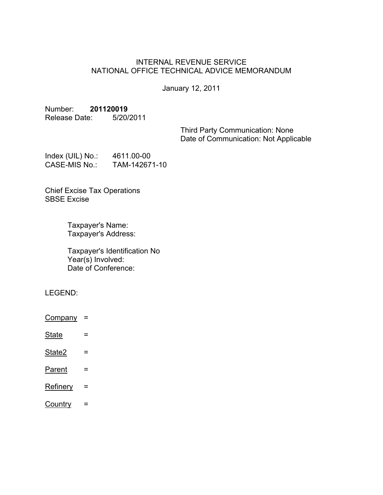## INTERNAL REVENUE SERVICE NATIONAL OFFICE TECHNICAL ADVICE MEMORANDUM

January 12, 2011

# Number: **201120019**

Release Date: 5/20/2011

Third Party Communication: None Date of Communication: Not Applicable

| Index $(UIL)$ No.:   | 4611.00-00    |
|----------------------|---------------|
| <b>CASE-MIS No.:</b> | TAM-142671-10 |

Chief Excise Tax Operations SBSE Excise

> Taxpayer's Name: Taxpayer's Address:

Taxpayer's Identification No Year(s) Involved: Date of Conference:

LEGEND:

- $Company =$
- State  $=$
- $State2 =$
- $Parent =$
- $Refinery =$
- $Country =$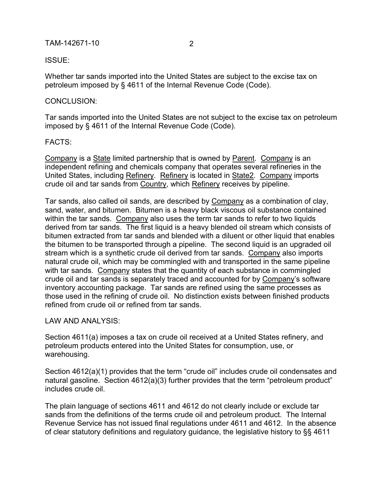#### TAM-142671-10 2

ISSUE:

Whether tar sands imported into the United States are subject to the excise tax on petroleum imposed by § 4611 of the Internal Revenue Code (Code).

#### CONCLUSION:

Tar sands imported into the United States are not subject to the excise tax on petroleum imposed by § 4611 of the Internal Revenue Code (Code).

#### FACTS:

Company is a State limited partnership that is owned by Parent. Company is an independent refining and chemicals company that operates several refineries in the United States, including Refinery. Refinery is located in State2. Company imports crude oil and tar sands from Country, which Refinery receives by pipeline.

Tar sands, also called oil sands, are described by Company as a combination of clay, sand, water, and bitumen. Bitumen is a heavy black viscous oil substance contained within the tar sands. Company also uses the term tar sands to refer to two liquids derived from tar sands. The first liquid is a heavy blended oil stream which consists of bitumen extracted from tar sands and blended with a diluent or other liquid that enables the bitumen to be transported through a pipeline. The second liquid is an upgraded oil stream which is a synthetic crude oil derived from tar sands. Company also imports natural crude oil, which may be commingled with and transported in the same pipeline with tar sands. Company states that the quantity of each substance in commingled crude oil and tar sands is separately traced and accounted for by Company's software inventory accounting package. Tar sands are refined using the same processes as those used in the refining of crude oil. No distinction exists between finished products refined from crude oil or refined from tar sands.

### LAW AND ANALYSIS:

Section 4611(a) imposes a tax on crude oil received at a United States refinery, and petroleum products entered into the United States for consumption, use, or warehousing.

Section 4612(a)(1) provides that the term "crude oil" includes crude oil condensates and natural gasoline. Section 4612(a)(3) further provides that the term "petroleum product" includes crude oil.

The plain language of sections 4611 and 4612 do not clearly include or exclude tar sands from the definitions of the terms crude oil and petroleum product. The Internal Revenue Service has not issued final regulations under 4611 and 4612. In the absence of clear statutory definitions and regulatory guidance, the legislative history to §§ 4611